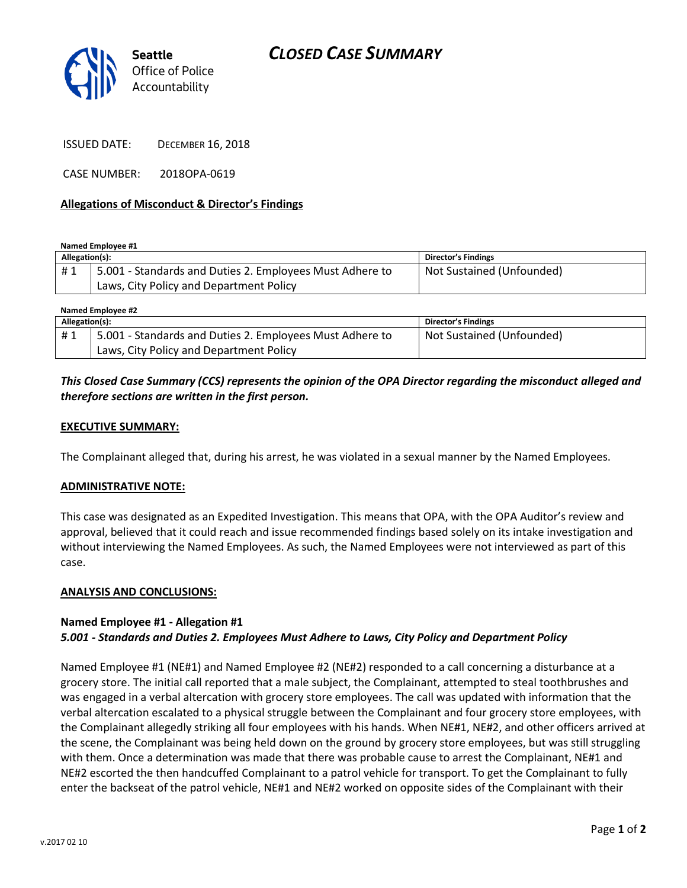

ISSUED DATE: DECEMBER 16, 2018

CASE NUMBER: 2018OPA-0619

## **Allegations of Misconduct & Director's Findings**

**Named Employee #1**

| Allegation(s): |                                                          | Director's Findings       |
|----------------|----------------------------------------------------------|---------------------------|
| #1             | 5.001 - Standards and Duties 2. Employees Must Adhere to | Not Sustained (Unfounded) |
|                | Laws, City Policy and Department Policy                  |                           |

| Named Employee #2 |                                                          |                            |  |
|-------------------|----------------------------------------------------------|----------------------------|--|
| Allegation(s):    |                                                          | <b>Director's Findings</b> |  |
| #1                | 5.001 - Standards and Duties 2. Employees Must Adhere to | Not Sustained (Unfounded)  |  |
|                   | Laws, City Policy and Department Policy                  |                            |  |

# *This Closed Case Summary (CCS) represents the opinion of the OPA Director regarding the misconduct alleged and therefore sections are written in the first person.*

## **EXECUTIVE SUMMARY:**

The Complainant alleged that, during his arrest, he was violated in a sexual manner by the Named Employees.

#### **ADMINISTRATIVE NOTE:**

This case was designated as an Expedited Investigation. This means that OPA, with the OPA Auditor's review and approval, believed that it could reach and issue recommended findings based solely on its intake investigation and without interviewing the Named Employees. As such, the Named Employees were not interviewed as part of this case.

#### **ANALYSIS AND CONCLUSIONS:**

## **Named Employee #1 - Allegation #1** *5.001 - Standards and Duties 2. Employees Must Adhere to Laws, City Policy and Department Policy*

Named Employee #1 (NE#1) and Named Employee #2 (NE#2) responded to a call concerning a disturbance at a grocery store. The initial call reported that a male subject, the Complainant, attempted to steal toothbrushes and was engaged in a verbal altercation with grocery store employees. The call was updated with information that the verbal altercation escalated to a physical struggle between the Complainant and four grocery store employees, with the Complainant allegedly striking all four employees with his hands. When NE#1, NE#2, and other officers arrived at the scene, the Complainant was being held down on the ground by grocery store employees, but was still struggling with them. Once a determination was made that there was probable cause to arrest the Complainant, NE#1 and NE#2 escorted the then handcuffed Complainant to a patrol vehicle for transport. To get the Complainant to fully enter the backseat of the patrol vehicle, NE#1 and NE#2 worked on opposite sides of the Complainant with their